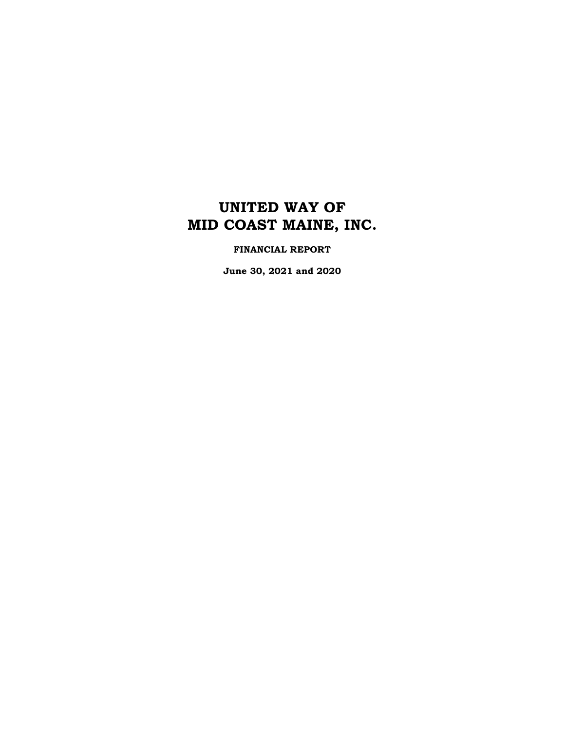# **FINANCIAL REPORT**

**June 30, 2021 and 2020**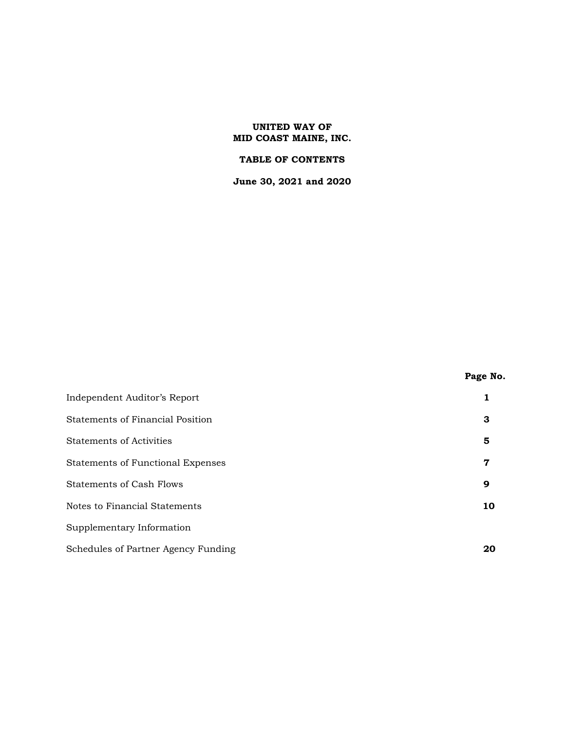# **TABLE OF CONTENTS**

**June 30, 2021 and 2020**

|                                          | Page No. |
|------------------------------------------|----------|
| Independent Auditor's Report             | 1        |
| Statements of Financial Position         | 3        |
| <b>Statements of Activities</b>          | 5        |
| <b>Statements of Functional Expenses</b> | 7        |
| Statements of Cash Flows                 | 9        |
| Notes to Financial Statements            | 10       |
| Supplementary Information                |          |
| Schedules of Partner Agency Funding      | 20       |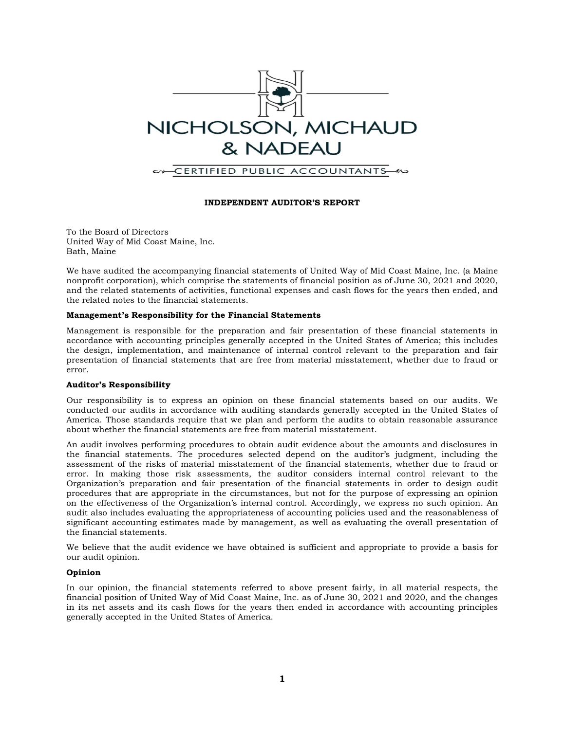

### INDEPENDENT AUDITOR'S REPORT

To the Board of Directors United Way of Mid Coast Maine, Inc. Bath, Maine

We have audited the accompanying financial statements of United Way of Mid Coast Maine, Inc. (a Maine nonprofit corporation), which comprise the statements of financial position as of June 30, 2021 and 2020, and the related statements of activities, functional expenses and cash flows for the years then ended, and the related notes to the financial statements.

#### Management's Responsibility for the Financial Statements

Management is responsible for the preparation and fair presentation of these financial statements in accordance with accounting principles generally accepted in the United States of America; this includes the design, implementation, and maintenance of internal control relevant to the preparation and fair presentation of financial statements that are free from material misstatement, whether due to fraud or error.

#### Auditor's Responsibility

Our responsibility is to express an opinion on these financial statements based on our audits. We conducted our audits in accordance with auditing standards generally accepted in the United States of America. Those standards require that we plan and perform the audits to obtain reasonable assurance about whether the financial statements are free from material misstatement.

An audit involves performing procedures to obtain audit evidence about the amounts and disclosures in the financial statements. The procedures selected depend on the auditor's judgment, including the assessment of the risks of material misstatement of the financial statements, whether due to fraud or error. In making those risk assessments, the auditor considers internal control relevant to the Organization's preparation and fair presentation of the financial statements in order to design audit procedures that are appropriate in the circumstances, but not for the purpose of expressing an opinion on the effectiveness of the Organization's internal control. Accordingly, we express no such opinion. An audit also includes evaluating the appropriateness of accounting policies used and the reasonableness of significant accounting estimates made by management, as well as evaluating the overall presentation of the financial statements.

We believe that the audit evidence we have obtained is sufficient and appropriate to provide a basis for our audit opinion.

#### Opinion

In our opinion, the financial statements referred to above present fairly, in all material respects, the financial position of United Way of Mid Coast Maine, Inc. as of June 30, 2021 and 2020, and the changes in its net assets and its cash flows for the years then ended in accordance with accounting principles generally accepted in the United States of America.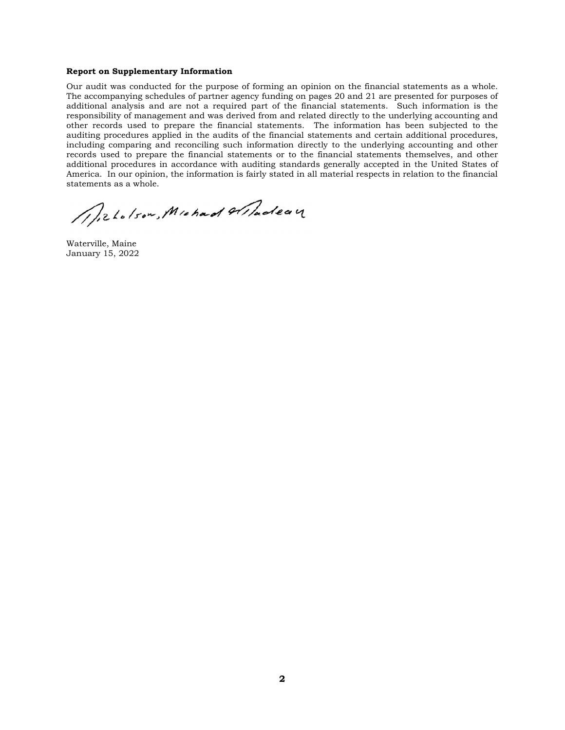#### Report on Supplementary Information

Our audit was conducted for the purpose of forming an opinion on the financial statements as a whole. The accompanying schedules of partner agency funding on pages 20 and 21 are presented for purposes of additional analysis and are not a required part of the financial statements. Such information is the responsibility of management and was derived from and related directly to the underlying accounting and other records used to prepare the financial statements. The information has been subjected to the auditing procedures applied in the audits of the financial statements and certain additional procedures, including comparing and reconciling such information directly to the underlying accounting and other records used to prepare the financial statements or to the financial statements themselves, and other additional procedures in accordance with auditing standards generally accepted in the United States of America. In our opinion, the information is fairly stated in all material respects in relation to the financial statements as a whole.

Millelson, Michael Wilsoleau

Waterville, Maine January 15, 2022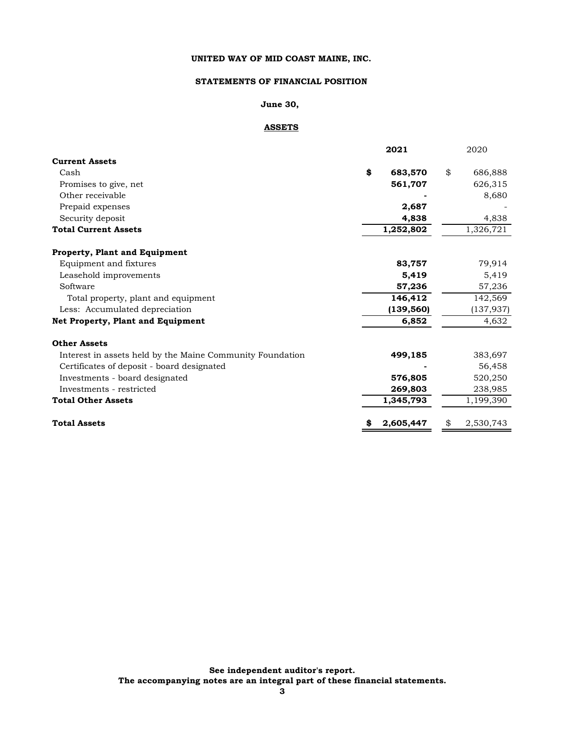# **STATEMENTS OF FINANCIAL POSITION**

# **June 30,**

# **ASSETS**

|                                                           | 2021          | 2020          |
|-----------------------------------------------------------|---------------|---------------|
| <b>Current Assets</b>                                     |               |               |
| Cash                                                      | \$<br>683,570 | \$<br>686,888 |
| Promises to give, net                                     | 561,707       | 626,315       |
| Other receivable                                          |               | 8,680         |
| Prepaid expenses                                          | 2,687         |               |
| Security deposit                                          | 4,838         | 4,838         |
| <b>Total Current Assets</b>                               | 1,252,802     | 1,326,721     |
| <b>Property, Plant and Equipment</b>                      |               |               |
| Equipment and fixtures                                    | 83,757        | 79,914        |
| Leasehold improvements                                    | 5,419         | 5,419         |
| Software                                                  | 57,236        | 57,236        |
| Total property, plant and equipment                       | 146,412       | 142,569       |
| Less: Accumulated depreciation                            | (139, 560)    | (137, 937)    |
| <b>Net Property, Plant and Equipment</b>                  | 6,852         | 4,632         |
| <b>Other Assets</b>                                       |               |               |
| Interest in assets held by the Maine Community Foundation | 499,185       | 383,697       |
| Certificates of deposit - board designated                |               | 56,458        |
| Investments - board designated                            | 576,805       | 520,250       |
| Investments - restricted                                  | 269,803       | 238,985       |
| <b>Total Other Assets</b>                                 | 1,345,793     | 1,199,390     |
| <b>Total Assets</b>                                       | 2,605,447     | 2,530,743     |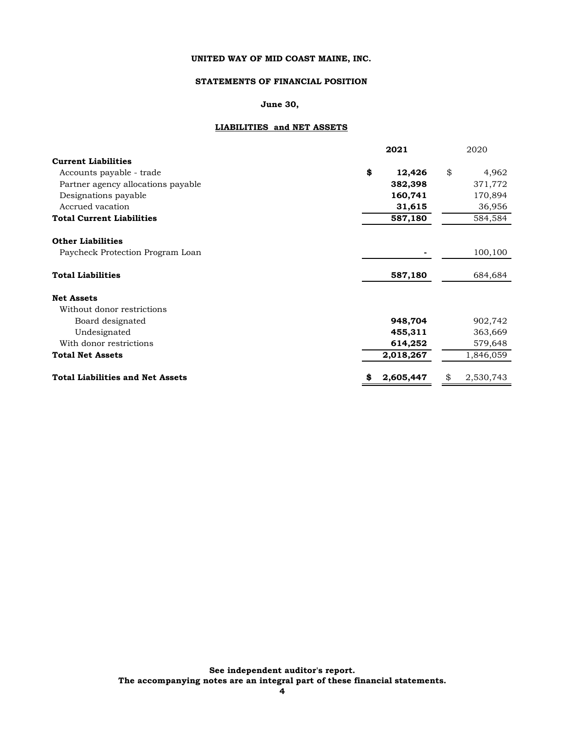# **STATEMENTS OF FINANCIAL POSITION**

# **June 30,**

# **LIABILITIES and NET ASSETS**

|                                         | 2021 |           | 2020 |           |
|-----------------------------------------|------|-----------|------|-----------|
| <b>Current Liabilities</b>              |      |           |      |           |
| Accounts payable - trade                | \$   | 12,426    | \$   | 4,962     |
| Partner agency allocations payable      |      | 382,398   |      | 371,772   |
| Designations payable                    |      | 160,741   |      | 170,894   |
| Accrued vacation                        |      | 31,615    |      | 36,956    |
| <b>Total Current Liabilities</b>        |      | 587,180   |      | 584,584   |
| <b>Other Liabilities</b>                |      |           |      |           |
| Paycheck Protection Program Loan        |      |           |      | 100,100   |
| <b>Total Liabilities</b>                |      | 587,180   |      | 684,684   |
| <b>Net Assets</b>                       |      |           |      |           |
| Without donor restrictions              |      |           |      |           |
| Board designated                        |      | 948,704   |      | 902,742   |
| Undesignated                            |      | 455,311   |      | 363,669   |
| With donor restrictions                 |      | 614,252   |      | 579,648   |
| <b>Total Net Assets</b>                 |      | 2,018,267 |      | 1,846,059 |
| <b>Total Liabilities and Net Assets</b> | \$   | 2,605,447 | \$   | 2,530,743 |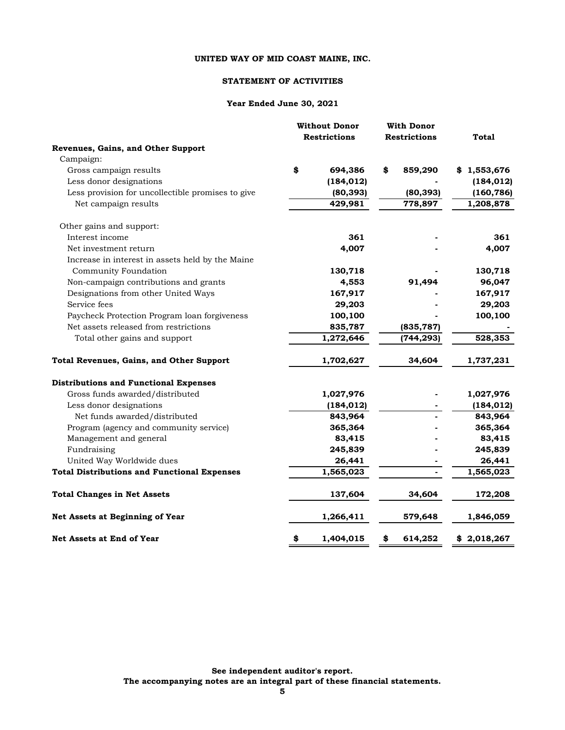### **STATEMENT OF ACTIVITIES**

|                                                    | <b>Without Donor</b> |                     | <b>With Donor</b>   |            |  |             |
|----------------------------------------------------|----------------------|---------------------|---------------------|------------|--|-------------|
|                                                    |                      | <b>Restrictions</b> | <b>Restrictions</b> |            |  | Total       |
| Revenues, Gains, and Other Support                 |                      |                     |                     |            |  |             |
| Campaign:                                          |                      |                     |                     |            |  |             |
| Gross campaign results                             | \$                   | 694,386             | \$                  | 859,290    |  | \$1,553,676 |
| Less donor designations                            |                      | (184, 012)          |                     |            |  | (184, 012)  |
| Less provision for uncollectible promises to give  |                      | (80, 393)           |                     | (80, 393)  |  | (160, 786)  |
| Net campaign results                               |                      | 429,981             |                     | 778,897    |  | 1,208,878   |
| Other gains and support:                           |                      |                     |                     |            |  |             |
| Interest income                                    |                      | 361                 |                     |            |  | 361         |
| Net investment return                              |                      | 4,007               |                     |            |  | 4,007       |
| Increase in interest in assets held by the Maine   |                      |                     |                     |            |  |             |
| Community Foundation                               |                      | 130,718             |                     |            |  | 130,718     |
| Non-campaign contributions and grants              |                      | 4,553               |                     | 91,494     |  | 96,047      |
| Designations from other United Ways                |                      | 167,917             |                     |            |  | 167,917     |
| Service fees                                       |                      | 29,203              |                     |            |  | 29,203      |
| Paycheck Protection Program loan forgiveness       |                      | 100,100             |                     |            |  | 100,100     |
| Net assets released from restrictions              |                      | 835,787             |                     | (835, 787) |  |             |
| Total other gains and support                      |                      | 1,272,646           |                     | (744, 293) |  | 528,353     |
| <b>Total Revenues, Gains, and Other Support</b>    |                      | 1,702,627           |                     | 34,604     |  | 1,737,231   |
| <b>Distributions and Functional Expenses</b>       |                      |                     |                     |            |  |             |
| Gross funds awarded/distributed                    |                      | 1,027,976           |                     |            |  | 1,027,976   |
| Less donor designations                            |                      | (184, 012)          |                     |            |  | (184, 012)  |
| Net funds awarded/distributed                      |                      | 843,964             |                     |            |  | 843,964     |
| Program (agency and community service)             |                      | 365,364             |                     |            |  | 365,364     |
| Management and general                             |                      | 83,415              |                     |            |  | 83,415      |
| Fundraising                                        |                      | 245,839             |                     |            |  | 245,839     |
| United Way Worldwide dues                          |                      | 26,441              |                     |            |  | 26,441      |
| <b>Total Distributions and Functional Expenses</b> |                      | 1,565,023           |                     |            |  | 1,565,023   |
| <b>Total Changes in Net Assets</b>                 |                      | 137,604             |                     | 34,604     |  | 172,208     |
| Net Assets at Beginning of Year                    |                      | 1,266,411           |                     | 579,648    |  | 1,846,059   |
| Net Assets at End of Year                          | \$                   | 1,404,015           | \$                  | 614,252    |  | \$2,018,267 |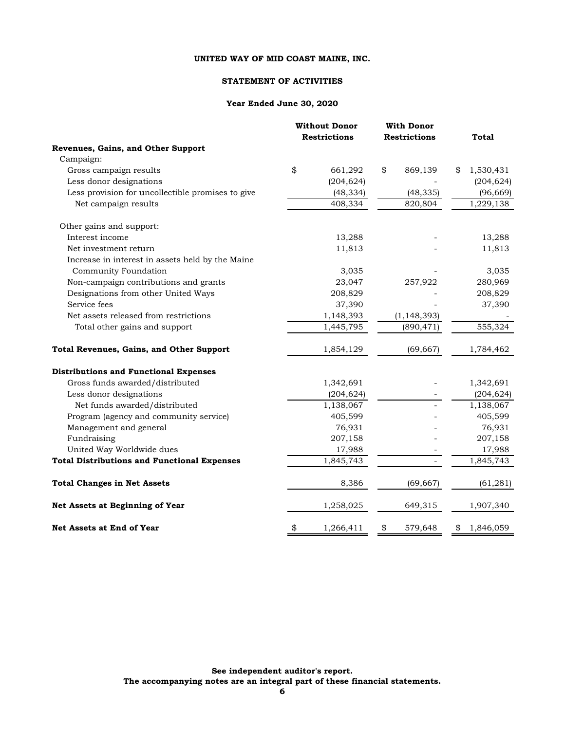### **STATEMENT OF ACTIVITIES**

|                                                    | <b>Without Donor</b> |                     | <b>With Donor</b> |                     |                 |
|----------------------------------------------------|----------------------|---------------------|-------------------|---------------------|-----------------|
|                                                    |                      | <b>Restrictions</b> |                   | <b>Restrictions</b> | <b>Total</b>    |
| Revenues, Gains, and Other Support                 |                      |                     |                   |                     |                 |
| Campaign:                                          |                      |                     |                   |                     |                 |
| Gross campaign results                             | \$                   | 661,292             | \$                | 869,139             | \$<br>1,530,431 |
| Less donor designations                            |                      | (204, 624)          |                   |                     | (204, 624)      |
| Less provision for uncollectible promises to give  |                      | (48, 334)           |                   | (48, 335)           | (96, 669)       |
| Net campaign results                               |                      | 408,334             |                   | 820,804             | 1,229,138       |
| Other gains and support:                           |                      |                     |                   |                     |                 |
| Interest income                                    |                      | 13,288              |                   |                     | 13,288          |
| Net investment return                              |                      | 11,813              |                   |                     | 11,813          |
| Increase in interest in assets held by the Maine   |                      |                     |                   |                     |                 |
| Community Foundation                               |                      | 3,035               |                   |                     | 3,035           |
| Non-campaign contributions and grants              |                      | 23,047              |                   | 257,922             | 280,969         |
| Designations from other United Ways                |                      | 208,829             |                   |                     | 208,829         |
| Service fees                                       |                      | 37,390              |                   |                     | 37,390          |
| Net assets released from restrictions              |                      | 1,148,393           |                   | (1, 148, 393)       |                 |
| Total other gains and support                      |                      | 1,445,795           |                   | (890, 471)          | 555,324         |
| <b>Total Revenues, Gains, and Other Support</b>    |                      | 1,854,129           |                   | (69, 667)           | 1,784,462       |
| <b>Distributions and Functional Expenses</b>       |                      |                     |                   |                     |                 |
| Gross funds awarded/distributed                    |                      | 1,342,691           |                   |                     | 1,342,691       |
| Less donor designations                            |                      | (204, 624)          |                   |                     | (204, 624)      |
| Net funds awarded/distributed                      |                      | 1,138,067           |                   |                     | 1,138,067       |
| Program (agency and community service)             |                      | 405,599             |                   |                     | 405,599         |
| Management and general                             |                      | 76,931              |                   |                     | 76,931          |
| Fundraising                                        |                      | 207,158             |                   |                     | 207,158         |
| United Way Worldwide dues                          |                      | 17,988              |                   |                     | 17,988          |
| <b>Total Distributions and Functional Expenses</b> |                      | 1,845,743           |                   |                     | 1,845,743       |
| <b>Total Changes in Net Assets</b>                 |                      | 8,386               |                   | (69, 667)           | (61, 281)       |
| Net Assets at Beginning of Year                    |                      | 1,258,025           |                   | 649,315             | 1,907,340       |
| Net Assets at End of Year                          | \$                   | 1,266,411           | \$                | 579,648             | \$<br>1,846,059 |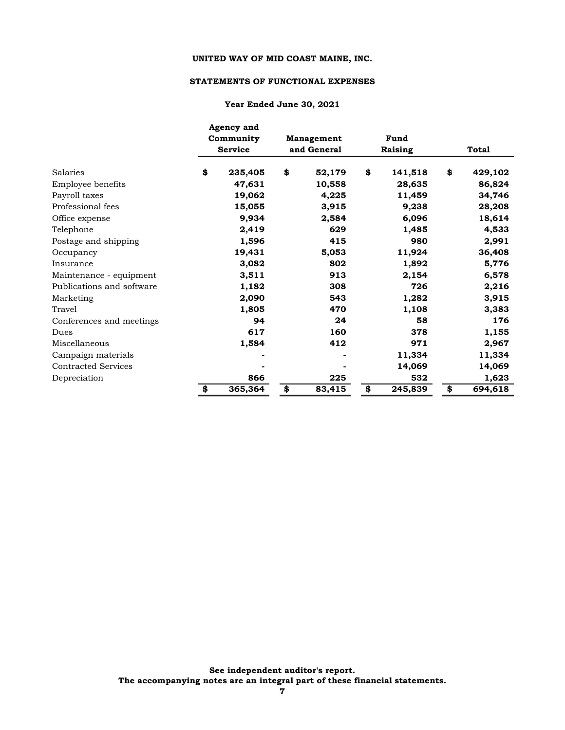# **STATEMENTS OF FUNCTIONAL EXPENSES**

|                            | Agency and<br>Community<br><b>Service</b> | <b>Management</b><br>and General | Fund<br>Raising | <b>Total</b>  |
|----------------------------|-------------------------------------------|----------------------------------|-----------------|---------------|
| Salaries                   | \$<br>235,405                             | \$<br>52,179                     | \$<br>141,518   | \$<br>429,102 |
| Employee benefits          | 47,631                                    | 10,558                           | 28,635          | 86,824        |
| Payroll taxes              | 19,062                                    | 4,225                            | 11,459          | 34,746        |
| Professional fees          | 15,055                                    | 3,915                            | 9,238           | 28,208        |
| Office expense             | 9,934                                     | 2,584                            | 6,096           | 18,614        |
| Telephone                  | 2,419                                     | 629                              | 1,485           | 4,533         |
| Postage and shipping       | 1,596                                     | 415                              | 980             | 2,991         |
| Occupancy                  | 19,431                                    | 5,053                            | 11,924          | 36,408        |
| Insurance                  | 3,082                                     | 802                              | 1,892           | 5,776         |
| Maintenance - equipment    | 3,511                                     | 913                              | 2,154           | 6,578         |
| Publications and software  | 1,182                                     | 308                              | 726             | 2,216         |
| Marketing                  | 2,090                                     | 543                              | 1,282           | 3,915         |
| Travel                     | 1,805                                     | 470                              | 1,108           | 3,383         |
| Conferences and meetings   | 94                                        | 24                               | 58              | 176           |
| Dues                       | 617                                       | 160                              | 378             | 1,155         |
| Miscellaneous              | 1,584                                     | 412                              | 971             | 2,967         |
| Campaign materials         |                                           |                                  | 11,334          | 11,334        |
| <b>Contracted Services</b> |                                           |                                  | 14,069          | 14,069        |
| Depreciation               | 866                                       | 225                              | 532             | 1,623         |
|                            | \$<br>365,364                             | \$<br>83,415                     | \$<br>245,839   | \$<br>694,618 |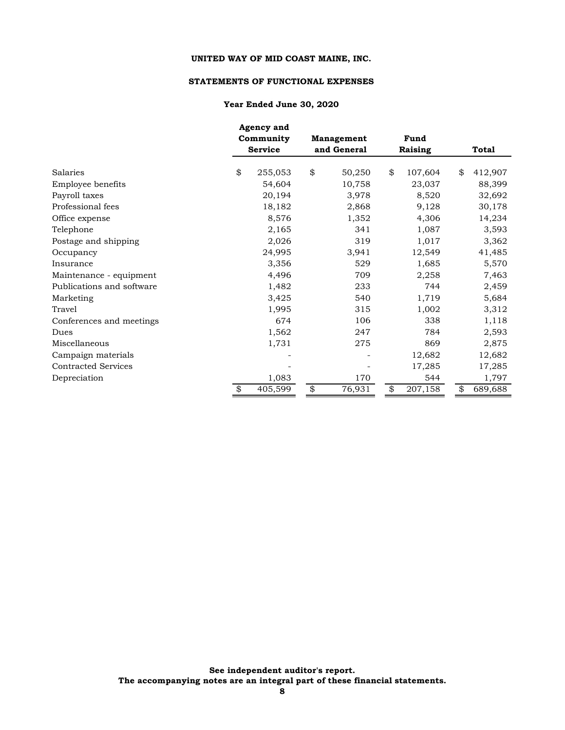# **STATEMENTS OF FUNCTIONAL EXPENSES**

|                            | <b>Agency and</b> |                         |             |               |               |
|----------------------------|-------------------|-------------------------|-------------|---------------|---------------|
|                            | Community         |                         | Management  | Fund          |               |
|                            | <b>Service</b>    |                         | and General | Raising       | Total         |
| Salaries                   | \$<br>255,053     | \$                      | 50,250      | \$<br>107,604 | \$<br>412,907 |
| Employee benefits          | 54,604            |                         | 10,758      | 23,037        | 88,399        |
| Payroll taxes              | 20,194            |                         | 3,978       | 8,520         | 32,692        |
| Professional fees          | 18,182            |                         | 2,868       | 9,128         | 30,178        |
| Office expense             | 8,576             |                         | 1,352       | 4,306         | 14,234        |
| Telephone                  | 2,165             |                         | 341         | 1,087         | 3,593         |
| Postage and shipping       | 2,026             |                         | 319         | 1,017         | 3,362         |
| Occupancy                  | 24,995            |                         | 3,941       | 12,549        | 41,485        |
| Insurance                  | 3,356             |                         | 529         | 1,685         | 5,570         |
| Maintenance - equipment    | 4,496             |                         | 709         | 2,258         | 7,463         |
| Publications and software  | 1,482             |                         | 233         | 744           | 2,459         |
| Marketing                  | 3,425             |                         | 540         | 1,719         | 5,684         |
| Travel                     | 1,995             |                         | 315         | 1,002         | 3,312         |
| Conferences and meetings   | 674               |                         | 106         | 338           | 1,118         |
| Dues                       | 1,562             |                         | 247         | 784           | 2,593         |
| Miscellaneous              | 1,731             |                         | 275         | 869           | 2,875         |
| Campaign materials         |                   |                         |             | 12,682        | 12,682        |
| <b>Contracted Services</b> |                   |                         |             | 17,285        | 17,285        |
| Depreciation               | 1,083             |                         | 170         | 544           | 1,797         |
|                            | \$<br>405,599     | $\overline{\mathbf{v}}$ | 76,931      | \$<br>207,158 | \$<br>689,688 |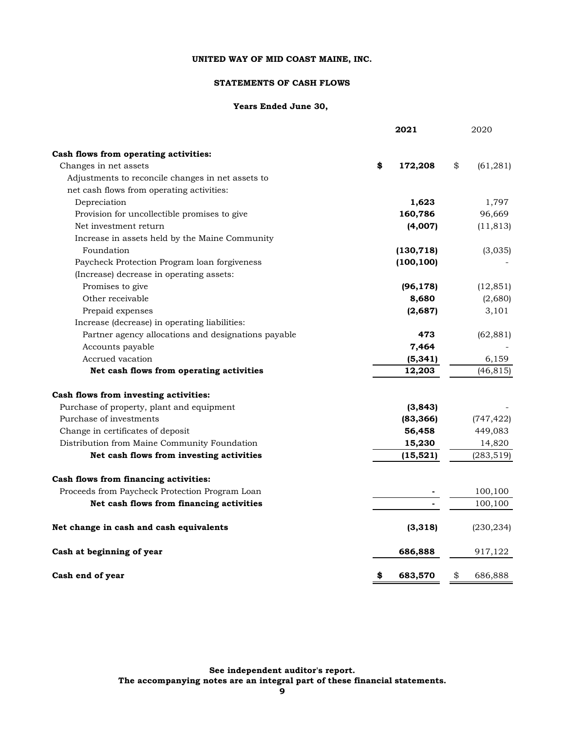# **STATEMENTS OF CASH FLOWS**

|                                                     | 2021          | 2020            |
|-----------------------------------------------------|---------------|-----------------|
| Cash flows from operating activities:               |               |                 |
| Changes in net assets                               | \$<br>172,208 | \$<br>(61, 281) |
| Adjustments to reconcile changes in net assets to   |               |                 |
| net cash flows from operating activities:           |               |                 |
| Depreciation                                        | 1,623         | 1,797           |
| Provision for uncollectible promises to give        | 160,786       | 96,669          |
| Net investment return                               | (4,007)       | (11, 813)       |
| Increase in assets held by the Maine Community      |               |                 |
| Foundation                                          | (130, 718)    | (3,035)         |
| Paycheck Protection Program loan forgiveness        | (100, 100)    |                 |
| (Increase) decrease in operating assets:            |               |                 |
| Promises to give                                    | (96, 178)     | (12, 851)       |
| Other receivable                                    | 8,680         | (2,680)         |
| Prepaid expenses                                    | (2,687)       | 3,101           |
| Increase (decrease) in operating liabilities:       |               |                 |
| Partner agency allocations and designations payable | 473           | (62, 881)       |
| Accounts payable                                    | 7,464         |                 |
| Accrued vacation                                    | (5, 341)      | 6,159           |
| Net cash flows from operating activities            | 12,203        | (46, 815)       |
| Cash flows from investing activities:               |               |                 |
| Purchase of property, plant and equipment           | (3, 843)      |                 |
| Purchase of investments                             | (83, 366)     | (747, 422)      |
| Change in certificates of deposit                   | 56,458        | 449,083         |
| Distribution from Maine Community Foundation        | 15,230        | 14,820          |
| Net cash flows from investing activities            | (15, 521)     | (283, 519)      |
| Cash flows from financing activities:               |               |                 |
| Proceeds from Paycheck Protection Program Loan      |               | 100,100         |
| Net cash flows from financing activities            |               | 100,100         |
| Net change in cash and cash equivalents             | (3, 318)      | (230, 234)      |
| Cash at beginning of year                           | 686,888       | 917,122         |
| Cash end of year                                    | \$<br>683,570 | \$<br>686,888   |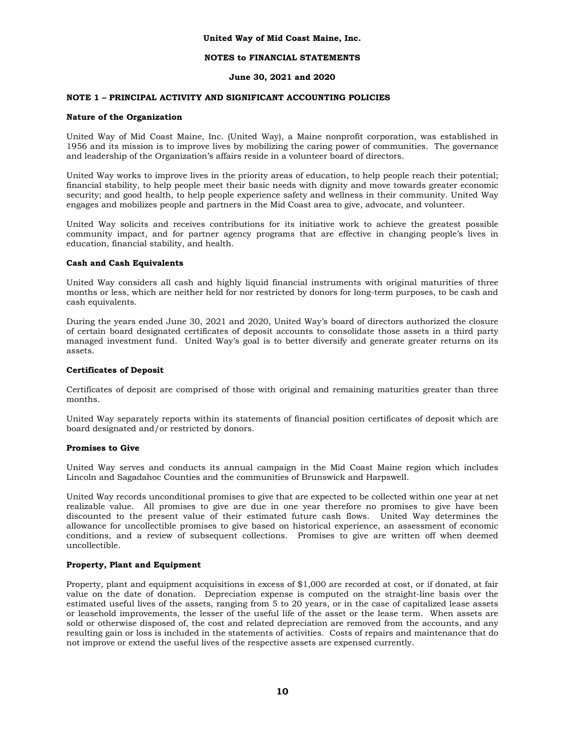#### **NOTES to FINANCIAL STATEMENTS**

#### **June 30, 2021 and 2020**

# **NOTE 1 – PRINCIPAL ACTIVITY AND SIGNIFICANT ACCOUNTING POLICIES**

#### **Nature of the Organization**

United Way of Mid Coast Maine, Inc. (United Way), a Maine nonprofit corporation, was established in 1956 and its mission is to improve lives by mobilizing the caring power of communities. The governance and leadership of the Organization's affairs reside in a volunteer board of directors.

United Way works to improve lives in the priority areas of education, to help people reach their potential; financial stability, to help people meet their basic needs with dignity and move towards greater economic security; and good health, to help people experience safety and wellness in their community. United Way engages and mobilizes people and partners in the Mid Coast area to give, advocate, and volunteer.

United Way solicits and receives contributions for its initiative work to achieve the greatest possible community impact, and for partner agency programs that are effective in changing people's lives in education, financial stability, and health.

## **Cash and Cash Equivalents**

United Way considers all cash and highly liquid financial instruments with original maturities of three months or less, which are neither held for nor restricted by donors for long-term purposes, to be cash and cash equivalents.

During the years ended June 30, 2021 and 2020, United Way's board of directors authorized the closure of certain board designated certificates of deposit accounts to consolidate those assets in a third party managed investment fund. United Way's goal is to better diversify and generate greater returns on its assets.

### **Certificates of Deposit**

Certificates of deposit are comprised of those with original and remaining maturities greater than three months.

United Way separately reports within its statements of financial position certificates of deposit which are board designated and/or restricted by donors.

#### **Promises to Give**

United Way serves and conducts its annual campaign in the Mid Coast Maine region which includes Lincoln and Sagadahoc Counties and the communities of Brunswick and Harpswell.

United Way records unconditional promises to give that are expected to be collected within one year at net realizable value. All promises to give are due in one year therefore no promises to give have been discounted to the present value of their estimated future cash flows.United Way determines the allowance for uncollectible promises to give based on historical experience, an assessment of economic conditions, and a review of subsequent collections. Promises to give are written off when deemed uncollectible.

### **Property, Plant and Equipment**

Property, plant and equipment acquisitions in excess of \$1,000 are recorded at cost, or if donated, at fair value on the date of donation. Depreciation expense is computed on the straight-line basis over the estimated useful lives of the assets, ranging from 5 to 20 years, or in the case of capitalized lease assets or leasehold improvements, the lesser of the useful life of the asset or the lease term. When assets are sold or otherwise disposed of, the cost and related depreciation are removed from the accounts, and any resulting gain or loss is included in the statements of activities. Costs of repairs and maintenance that do not improve or extend the useful lives of the respective assets are expensed currently.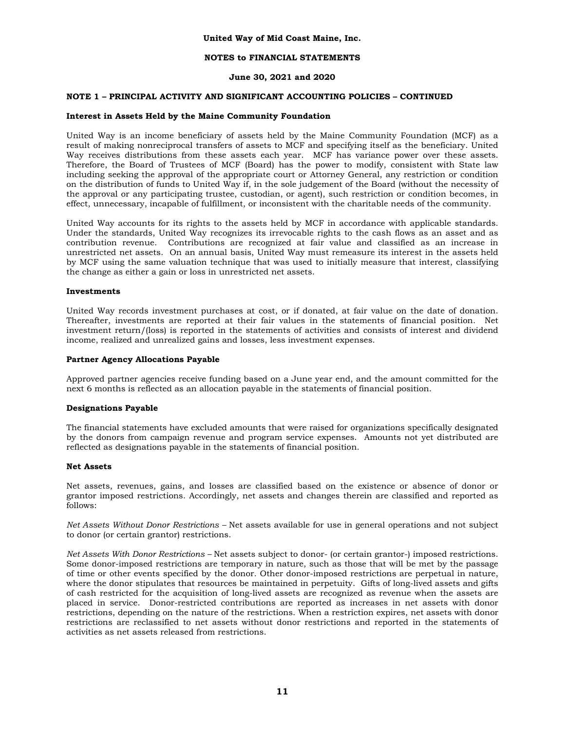#### **NOTES to FINANCIAL STATEMENTS**

### **June 30, 2021 and 2020**

## **NOTE 1 – PRINCIPAL ACTIVITY AND SIGNIFICANT ACCOUNTING POLICIES – CONTINUED**

#### **Interest in Assets Held by the Maine Community Foundation**

United Way is an income beneficiary of assets held by the Maine Community Foundation (MCF) as a result of making nonreciprocal transfers of assets to MCF and specifying itself as the beneficiary. United Way receives distributions from these assets each year. MCF has variance power over these assets. Therefore, the Board of Trustees of MCF (Board) has the power to modify, consistent with State law including seeking the approval of the appropriate court or Attorney General, any restriction or condition on the distribution of funds to United Way if, in the sole judgement of the Board (without the necessity of the approval or any participating trustee, custodian, or agent), such restriction or condition becomes, in effect, unnecessary, incapable of fulfillment, or inconsistent with the charitable needs of the community.

United Way accounts for its rights to the assets held by MCF in accordance with applicable standards. Under the standards, United Way recognizes its irrevocable rights to the cash flows as an asset and as contribution revenue. Contributions are recognized at fair value and classified as an increase in unrestricted net assets. On an annual basis, United Way must remeasure its interest in the assets held by MCF using the same valuation technique that was used to initially measure that interest, classifying the change as either a gain or loss in unrestricted net assets.

#### **Investments**

United Way records investment purchases at cost, or if donated, at fair value on the date of donation. Thereafter, investments are reported at their fair values in the statements of financial position. Net investment return/(loss) is reported in the statements of activities and consists of interest and dividend income, realized and unrealized gains and losses, less investment expenses.

#### **Partner Agency Allocations Payable**

Approved partner agencies receive funding based on a June year end, and the amount committed for the next 6 months is reflected as an allocation payable in the statements of financial position.

#### **Designations Payable**

The financial statements have excluded amounts that were raised for organizations specifically designated by the donors from campaign revenue and program service expenses. Amounts not yet distributed are reflected as designations payable in the statements of financial position.

#### **Net Assets**

Net assets, revenues, gains, and losses are classified based on the existence or absence of donor or grantor imposed restrictions. Accordingly, net assets and changes therein are classified and reported as follows:

*Net Assets Without Donor Restrictions –* Net assets available for use in general operations and not subject to donor (or certain grantor) restrictions.

*Net Assets With Donor Restrictions –* Net assets subject to donor- (or certain grantor-) imposed restrictions. Some donor-imposed restrictions are temporary in nature, such as those that will be met by the passage of time or other events specified by the donor. Other donor-imposed restrictions are perpetual in nature, where the donor stipulates that resources be maintained in perpetuity. Gifts of long-lived assets and gifts of cash restricted for the acquisition of long-lived assets are recognized as revenue when the assets are placed in service. Donor-restricted contributions are reported as increases in net assets with donor restrictions, depending on the nature of the restrictions. When a restriction expires, net assets with donor restrictions are reclassified to net assets without donor restrictions and reported in the statements of activities as net assets released from restrictions.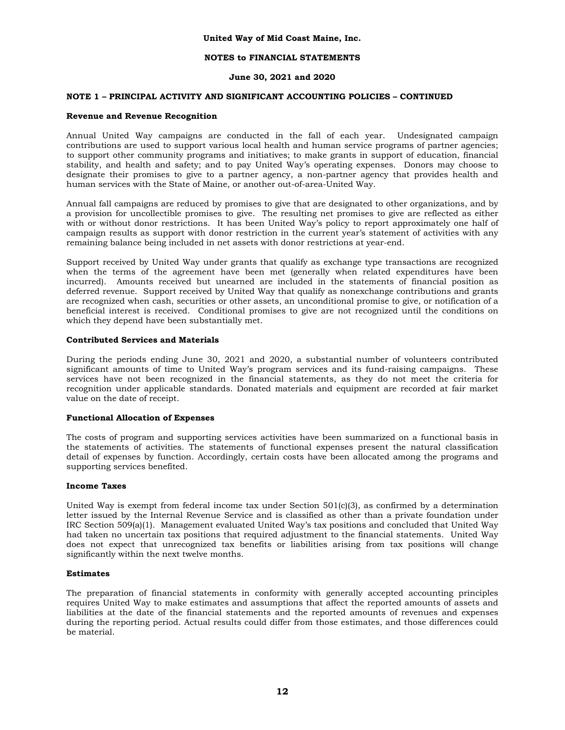#### **NOTES to FINANCIAL STATEMENTS**

#### **June 30, 2021 and 2020**

### **NOTE 1 – PRINCIPAL ACTIVITY AND SIGNIFICANT ACCOUNTING POLICIES – CONTINUED**

#### **Revenue and Revenue Recognition**

Annual United Way campaigns are conducted in the fall of each year. Undesignated campaign contributions are used to support various local health and human service programs of partner agencies; to support other community programs and initiatives; to make grants in support of education, financial stability, and health and safety; and to pay United Way's operating expenses. Donors may choose to designate their promises to give to a partner agency, a non-partner agency that provides health and human services with the State of Maine, or another out-of-area-United Way.

Annual fall campaigns are reduced by promises to give that are designated to other organizations, and by a provision for uncollectible promises to give. The resulting net promises to give are reflected as either with or without donor restrictions. It has been United Way's policy to report approximately one half of campaign results as support with donor restriction in the current year's statement of activities with any remaining balance being included in net assets with donor restrictions at year-end.

Support received by United Way under grants that qualify as exchange type transactions are recognized when the terms of the agreement have been met (generally when related expenditures have been incurred). Amounts received but unearned are included in the statements of financial position as deferred revenue. Support received by United Way that qualify as nonexchange contributions and grants are recognized when cash, securities or other assets, an unconditional promise to give, or notification of a beneficial interest is received. Conditional promises to give are not recognized until the conditions on which they depend have been substantially met.

#### **Contributed Services and Materials**

During the periods ending June 30, 2021 and 2020, a substantial number of volunteers contributed significant amounts of time to United Way's program services and its fund-raising campaigns. These services have not been recognized in the financial statements, as they do not meet the criteria for recognition under applicable standards. Donated materials and equipment are recorded at fair market value on the date of receipt.

### **Functional Allocation of Expenses**

The costs of program and supporting services activities have been summarized on a functional basis in the statements of activities. The statements of functional expenses present the natural classification detail of expenses by function. Accordingly, certain costs have been allocated among the programs and supporting services benefited.

### **Income Taxes**

United Way is exempt from federal income tax under Section 501(c)(3), as confirmed by a determination letter issued by the Internal Revenue Service and is classified as other than a private foundation under IRC Section 509(a)(1). Management evaluated United Way's tax positions and concluded that United Way had taken no uncertain tax positions that required adjustment to the financial statements. United Way does not expect that unrecognized tax benefits or liabilities arising from tax positions will change significantly within the next twelve months.

### **Estimates**

The preparation of financial statements in conformity with generally accepted accounting principles requires United Way to make estimates and assumptions that affect the reported amounts of assets and liabilities at the date of the financial statements and the reported amounts of revenues and expenses during the reporting period. Actual results could differ from those estimates, and those differences could be material.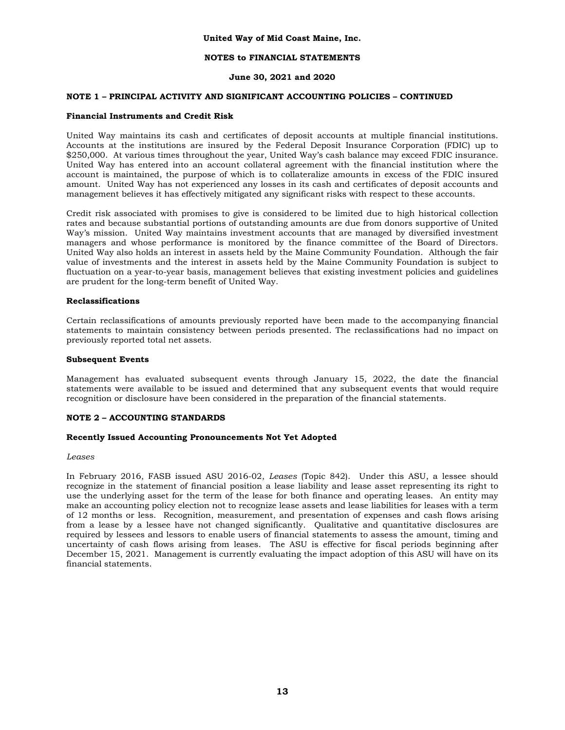### **NOTES to FINANCIAL STATEMENTS**

## **June 30, 2021 and 2020**

## **NOTE 1 – PRINCIPAL ACTIVITY AND SIGNIFICANT ACCOUNTING POLICIES – CONTINUED**

### **Financial Instruments and Credit Risk**

United Way maintains its cash and certificates of deposit accounts at multiple financial institutions. Accounts at the institutions are insured by the Federal Deposit Insurance Corporation (FDIC) up to \$250,000. At various times throughout the year, United Way's cash balance may exceed FDIC insurance. United Way has entered into an account collateral agreement with the financial institution where the account is maintained, the purpose of which is to collateralize amounts in excess of the FDIC insured amount. United Way has not experienced any losses in its cash and certificates of deposit accounts and management believes it has effectively mitigated any significant risks with respect to these accounts.

Credit risk associated with promises to give is considered to be limited due to high historical collection rates and because substantial portions of outstanding amounts are due from donors supportive of United Way's mission. United Way maintains investment accounts that are managed by diversified investment managers and whose performance is monitored by the finance committee of the Board of Directors. United Way also holds an interest in assets held by the Maine Community Foundation. Although the fair value of investments and the interest in assets held by the Maine Community Foundation is subject to fluctuation on a year-to-year basis, management believes that existing investment policies and guidelines are prudent for the long-term benefit of United Way.

### **Reclassifications**

Certain reclassifications of amounts previously reported have been made to the accompanying financial statements to maintain consistency between periods presented. The reclassifications had no impact on previously reported total net assets.

#### **Subsequent Events**

Management has evaluated subsequent events through January 15, 2022, the date the financial statements were available to be issued and determined that any subsequent events that would require recognition or disclosure have been considered in the preparation of the financial statements.

### **NOTE 2 – ACCOUNTING STANDARDS**

#### **Recently Issued Accounting Pronouncements Not Yet Adopted**

#### *Leases*

In February 2016, FASB issued ASU 2016-02, *Leases* (Topic 842). Under this ASU, a lessee should recognize in the statement of financial position a lease liability and lease asset representing its right to use the underlying asset for the term of the lease for both finance and operating leases. An entity may make an accounting policy election not to recognize lease assets and lease liabilities for leases with a term of 12 months or less. Recognition, measurement, and presentation of expenses and cash flows arising from a lease by a lessee have not changed significantly. Qualitative and quantitative disclosures are required by lessees and lessors to enable users of financial statements to assess the amount, timing and uncertainty of cash flows arising from leases. The ASU is effective for fiscal periods beginning after December 15, 2021. Management is currently evaluating the impact adoption of this ASU will have on its financial statements.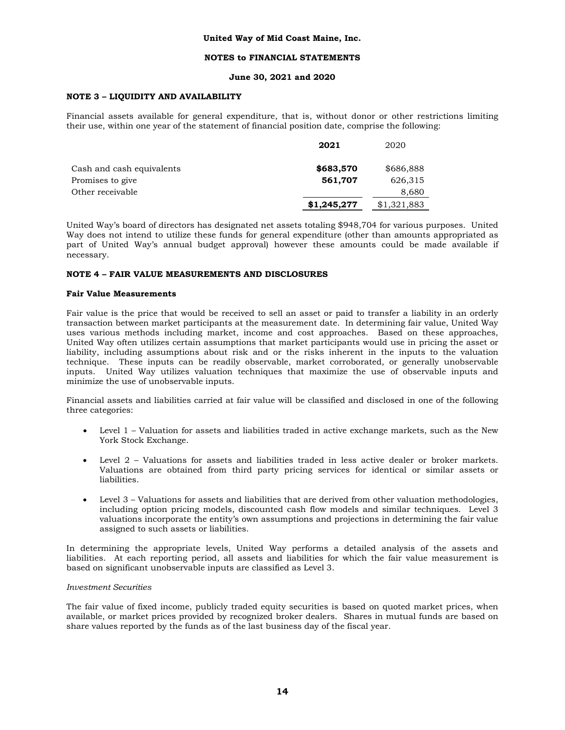#### **June 30, 2021 and 2020**

### **NOTE 3 – LIQUIDITY AND AVAILABILITY**

Financial assets available for general expenditure, that is, without donor or other restrictions limiting their use, within one year of the statement of financial position date, comprise the following:

|                           | 2021        | 2020        |
|---------------------------|-------------|-------------|
| Cash and cash equivalents | \$683,570   | \$686,888   |
| Promises to give          | 561,707     | 626,315     |
| Other receivable          |             | 8,680       |
|                           | \$1,245,277 | \$1,321,883 |

United Way's board of directors has designated net assets totaling \$948,704 for various purposes. United Way does not intend to utilize these funds for general expenditure (other than amounts appropriated as part of United Way's annual budget approval) however these amounts could be made available if necessary.

# **NOTE 4 – FAIR VALUE MEASUREMENTS AND DISCLOSURES**

#### **Fair Value Measurements**

Fair value is the price that would be received to sell an asset or paid to transfer a liability in an orderly transaction between market participants at the measurement date. In determining fair value, United Way uses various methods including market, income and cost approaches. Based on these approaches, United Way often utilizes certain assumptions that market participants would use in pricing the asset or liability, including assumptions about risk and or the risks inherent in the inputs to the valuation technique. These inputs can be readily observable, market corroborated, or generally unobservable inputs. United Way utilizes valuation techniques that maximize the use of observable inputs and minimize the use of unobservable inputs.

Financial assets and liabilities carried at fair value will be classified and disclosed in one of the following three categories:

- Level 1 Valuation for assets and liabilities traded in active exchange markets, such as the New York Stock Exchange.
- Level 2 Valuations for assets and liabilities traded in less active dealer or broker markets. Valuations are obtained from third party pricing services for identical or similar assets or liabilities.
- Level 3 Valuations for assets and liabilities that are derived from other valuation methodologies, including option pricing models, discounted cash flow models and similar techniques. Level 3 valuations incorporate the entity's own assumptions and projections in determining the fair value assigned to such assets or liabilities.

In determining the appropriate levels, United Way performs a detailed analysis of the assets and liabilities. At each reporting period, all assets and liabilities for which the fair value measurement is based on significant unobservable inputs are classified as Level 3.

#### *Investment Securities*

The fair value of fixed income, publicly traded equity securities is based on quoted market prices, when available, or market prices provided by recognized broker dealers. Shares in mutual funds are based on share values reported by the funds as of the last business day of the fiscal year.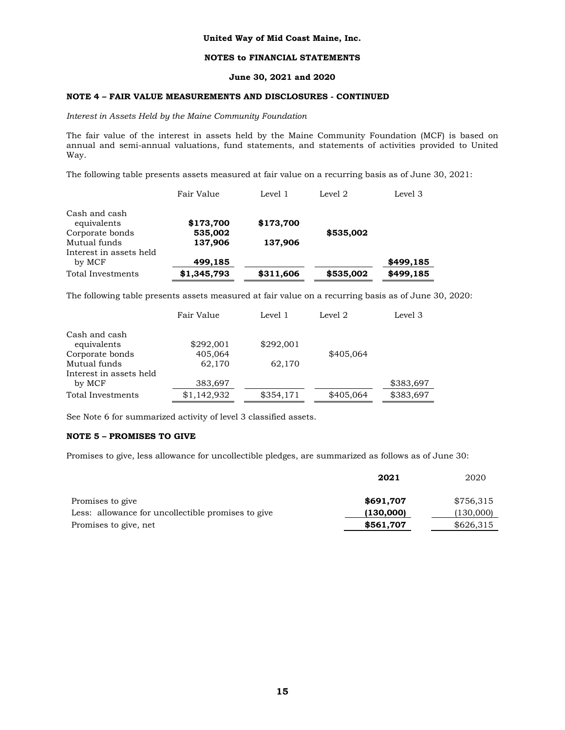### **NOTES to FINANCIAL STATEMENTS**

# **June 30, 2021 and 2020**

# **NOTE 4 – FAIR VALUE MEASUREMENTS AND DISCLOSURES - CONTINUED**

*Interest in Assets Held by the Maine Community Foundation*

The fair value of the interest in assets held by the Maine Community Foundation (MCF) is based on annual and semi-annual valuations, fund statements, and statements of activities provided to United Way.

The following table presents assets measured at fair value on a recurring basis as of June 30, 2021:

|                              | Fair Value  | Level 1   | Level 2   | Level 3   |
|------------------------------|-------------|-----------|-----------|-----------|
| Cash and cash<br>equivalents | \$173,700   | \$173,700 |           |           |
| Corporate bonds              | 535,002     |           | \$535,002 |           |
| Mutual funds                 | 137,906     | 137,906   |           |           |
| Interest in assets held      |             |           |           |           |
| by MCF                       | 499,185     |           |           | \$499,185 |
| Total Investments            | \$1,345,793 | \$311,606 | \$535,002 | \$499,185 |

The following table presents assets measured at fair value on a recurring basis as of June 30, 2020:

|                         | Fair Value  | Level 1   | Level 2   | Level 3   |
|-------------------------|-------------|-----------|-----------|-----------|
| Cash and cash           |             |           |           |           |
| equivalents             | \$292,001   | \$292,001 |           |           |
| Corporate bonds         | 405,064     |           | \$405,064 |           |
| Mutual funds            | 62,170      | 62,170    |           |           |
| Interest in assets held |             |           |           |           |
| by MCF                  | 383,697     |           |           | \$383,697 |
| Total Investments       | \$1,142,932 | \$354,171 | \$405,064 | \$383,697 |

See Note 6 for summarized activity of level 3 classified assets.

# **NOTE 5 – PROMISES TO GIVE**

Promises to give, less allowance for uncollectible pledges, are summarized as follows as of June 30:

|                                                    | 2021      | 2020      |
|----------------------------------------------------|-----------|-----------|
| Promises to give                                   | \$691,707 | \$756,315 |
| Less: allowance for uncollectible promises to give | (130,000) | (130,000) |
| Promises to give, net                              | \$561,707 | \$626,315 |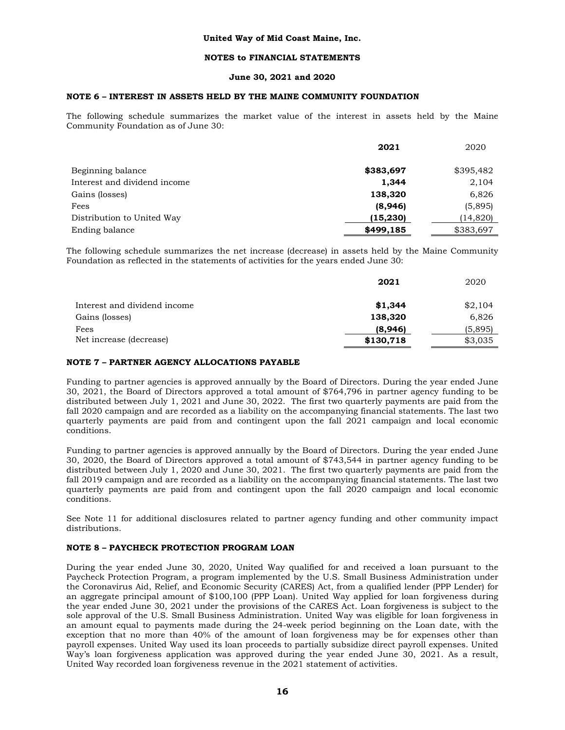#### **June 30, 2021 and 2020**

### **NOTE 6 – INTEREST IN ASSETS HELD BY THE MAINE COMMUNITY FOUNDATION**

The following schedule summarizes the market value of the interest in assets held by the Maine Community Foundation as of June 30:

|                              | 2021      | 2020      |
|------------------------------|-----------|-----------|
| Beginning balance            | \$383,697 | \$395,482 |
| Interest and dividend income | 1.344     | 2,104     |
| Gains (losses)               | 138,320   | 6,826     |
| Fees                         | (8,946)   | (5,895)   |
| Distribution to United Way   | (15,230)  | (14, 820) |
| Ending balance               | \$499,185 | \$383,697 |

The following schedule summarizes the net increase (decrease) in assets held by the Maine Community Foundation as reflected in the statements of activities for the years ended June 30:

|                              | 2021      | 2020    |
|------------------------------|-----------|---------|
| Interest and dividend income | \$1,344   | \$2,104 |
| Gains (losses)               | 138,320   | 6,826   |
| Fees                         | (8,946)   | (5,895) |
| Net increase (decrease)      | \$130,718 | \$3,035 |

### **NOTE 7 – PARTNER AGENCY ALLOCATIONS PAYABLE**

Funding to partner agencies is approved annually by the Board of Directors. During the year ended June 30, 2021, the Board of Directors approved a total amount of \$764,796 in partner agency funding to be distributed between July 1, 2021 and June 30, 2022. The first two quarterly payments are paid from the fall 2020 campaign and are recorded as a liability on the accompanying financial statements. The last two quarterly payments are paid from and contingent upon the fall 2021 campaign and local economic conditions.

Funding to partner agencies is approved annually by the Board of Directors. During the year ended June 30, 2020, the Board of Directors approved a total amount of \$743,544 in partner agency funding to be distributed between July 1, 2020 and June 30, 2021. The first two quarterly payments are paid from the fall 2019 campaign and are recorded as a liability on the accompanying financial statements. The last two quarterly payments are paid from and contingent upon the fall 2020 campaign and local economic conditions.

See Note 11 for additional disclosures related to partner agency funding and other community impact distributions.

## **NOTE 8 – PAYCHECK PROTECTION PROGRAM LOAN**

During the year ended June 30, 2020, United Way qualified for and received a loan pursuant to the Paycheck Protection Program, a program implemented by the U.S. Small Business Administration under the Coronavirus Aid, Relief, and Economic Security (CARES) Act, from a qualified lender (PPP Lender) for an aggregate principal amount of \$100,100 (PPP Loan). United Way applied for loan forgiveness during the year ended June 30, 2021 under the provisions of the CARES Act. Loan forgiveness is subject to the sole approval of the U.S. Small Business Administration. United Way was eligible for loan forgiveness in an amount equal to payments made during the 24-week period beginning on the Loan date, with the exception that no more than 40% of the amount of loan forgiveness may be for expenses other than payroll expenses. United Way used its loan proceeds to partially subsidize direct payroll expenses. United Way's loan forgiveness application was approved during the year ended June 30, 2021. As a result, United Way recorded loan forgiveness revenue in the 2021 statement of activities.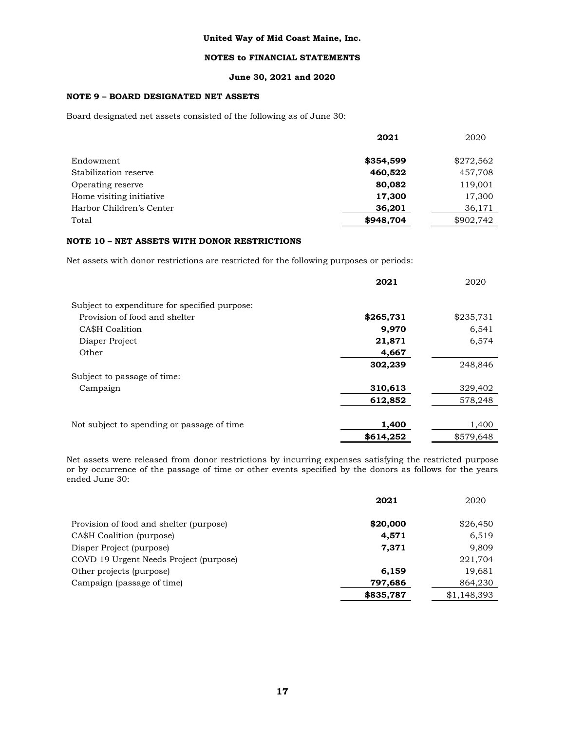# **June 30, 2021 and 2020**

# **NOTE 9 – BOARD DESIGNATED NET ASSETS**

Board designated net assets consisted of the following as of June 30:

|                          | 2021      |           |  |
|--------------------------|-----------|-----------|--|
| Endowment                | \$354,599 | \$272,562 |  |
| Stabilization reserve    | 460,522   | 457,708   |  |
| Operating reserve        | 80,082    | 119,001   |  |
| Home visiting initiative | 17,300    | 17,300    |  |
| Harbor Children's Center | 36,201    | 36,171    |  |
| Total                    | \$948,704 | \$902,742 |  |

# **NOTE 10 – NET ASSETS WITH DONOR RESTRICTIONS**

Net assets with donor restrictions are restricted for the following purposes or periods:

|                                               | 2021      | 2020      |
|-----------------------------------------------|-----------|-----------|
| Subject to expenditure for specified purpose: |           |           |
| Provision of food and shelter                 | \$265,731 | \$235,731 |
| CA\$H Coalition                               | 9,970     | 6,541     |
| Diaper Project                                | 21,871    | 6,574     |
| Other                                         | 4,667     |           |
|                                               | 302,239   | 248,846   |
| Subject to passage of time:                   |           |           |
| Campaign                                      | 310,613   | 329,402   |
|                                               | 612,852   | 578,248   |
|                                               |           |           |
| Not subject to spending or passage of time.   | 1,400     | 1,400     |
|                                               | \$614,252 | \$579.648 |

Net assets were released from donor restrictions by incurring expenses satisfying the restricted purpose or by occurrence of the passage of time or other events specified by the donors as follows for the years ended June 30:

|                                         | 2021      | 2020        |
|-----------------------------------------|-----------|-------------|
| Provision of food and shelter (purpose) | \$20,000  | \$26,450    |
| CA\$H Coalition (purpose)               | 4,571     | 6,519       |
| Diaper Project (purpose)                | 7,371     | 9,809       |
| COVD 19 Urgent Needs Project (purpose)  |           | 221,704     |
| Other projects (purpose)                | 6,159     | 19,681      |
| Campaign (passage of time)              | 797,686   | 864,230     |
|                                         | \$835,787 | \$1,148,393 |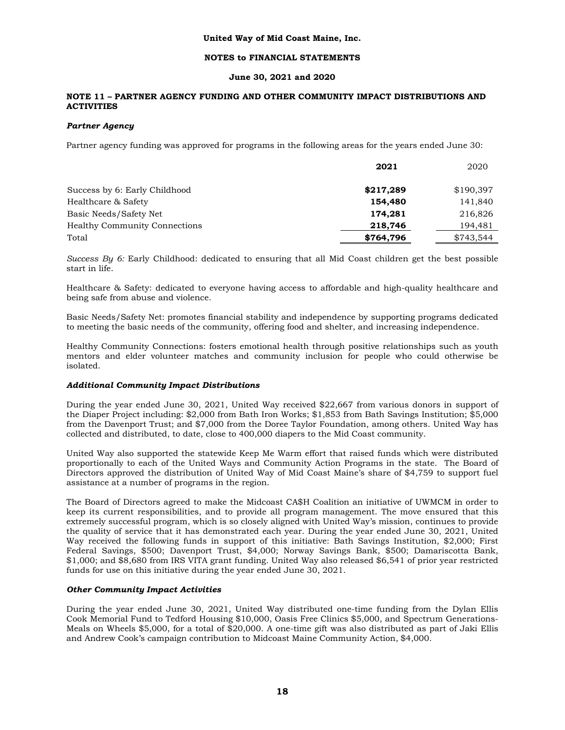### **June 30, 2021 and 2020**

## **NOTE 11 – PARTNER AGENCY FUNDING AND OTHER COMMUNITY IMPACT DISTRIBUTIONS AND ACTIVITIES**

### *Partner Agency*

Partner agency funding was approved for programs in the following areas for the years ended June 30:

|                                      | 2021      |           |  |
|--------------------------------------|-----------|-----------|--|
| Success by 6: Early Childhood        | \$217,289 | \$190,397 |  |
| Healthcare & Safety                  | 154,480   | 141,840   |  |
| Basic Needs/Safety Net               | 174,281   | 216,826   |  |
| <b>Healthy Community Connections</b> | 218,746   | 194,481   |  |
| Total                                | \$764,796 | \$743,544 |  |

*Success By 6:* Early Childhood: dedicated to ensuring that all Mid Coast children get the best possible start in life.

Healthcare & Safety: dedicated to everyone having access to affordable and high-quality healthcare and being safe from abuse and violence.

Basic Needs/Safety Net: promotes financial stability and independence by supporting programs dedicated to meeting the basic needs of the community, offering food and shelter, and increasing independence.

Healthy Community Connections: fosters emotional health through positive relationships such as youth mentors and elder volunteer matches and community inclusion for people who could otherwise be isolated.

### *Additional Community Impact Distributions*

During the year ended June 30, 2021, United Way received \$22,667 from various donors in support of the Diaper Project including: \$2,000 from Bath Iron Works; \$1,853 from Bath Savings Institution; \$5,000 from the Davenport Trust; and \$7,000 from the Doree Taylor Foundation, among others. United Way has collected and distributed, to date, close to 400,000 diapers to the Mid Coast community.

United Way also supported the statewide Keep Me Warm effort that raised funds which were distributed proportionally to each of the United Ways and Community Action Programs in the state. The Board of Directors approved the distribution of United Way of Mid Coast Maine's share of \$4,759 to support fuel assistance at a number of programs in the region.

The Board of Directors agreed to make the Midcoast CA\$H Coalition an initiative of UWMCM in order to keep its current responsibilities, and to provide all program management. The move ensured that this extremely successful program, which is so closely aligned with United Way's mission, continues to provide the quality of service that it has demonstrated each year. During the year ended June 30, 2021, United Way received the following funds in support of this initiative: Bath Savings Institution, \$2,000; First Federal Savings, \$500; Davenport Trust, \$4,000; Norway Savings Bank, \$500; Damariscotta Bank, \$1,000; and \$8,680 from IRS VITA grant funding. United Way also released \$6,541 of prior year restricted funds for use on this initiative during the year ended June 30, 2021.

#### *Other Community Impact Activities*

During the year ended June 30, 2021, United Way distributed one-time funding from the Dylan Ellis Cook Memorial Fund to Tedford Housing \$10,000, Oasis Free Clinics \$5,000, and Spectrum Generations-Meals on Wheels \$5,000, for a total of \$20,000. A one-time gift was also distributed as part of Jaki Ellis and Andrew Cook's campaign contribution to Midcoast Maine Community Action, \$4,000.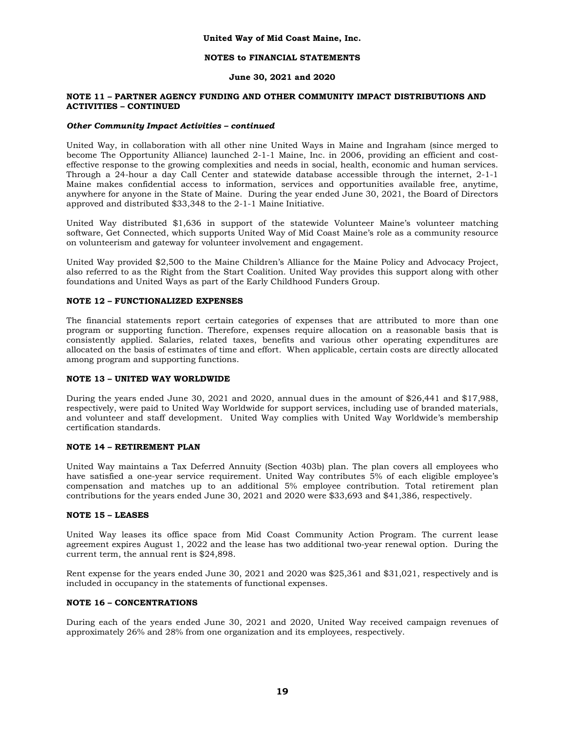### **NOTES to FINANCIAL STATEMENTS**

### **June 30, 2021 and 2020**

### **NOTE 11 – PARTNER AGENCY FUNDING AND OTHER COMMUNITY IMPACT DISTRIBUTIONS AND ACTIVITIES – CONTINUED**

#### *Other Community Impact Activities – continued*

United Way, in collaboration with all other nine United Ways in Maine and Ingraham (since merged to become The Opportunity Alliance) launched 2-1-1 Maine, Inc. in 2006, providing an efficient and costeffective response to the growing complexities and needs in social, health, economic and human services. Through a 24-hour a day Call Center and statewide database accessible through the internet, 2-1-1 Maine makes confidential access to information, services and opportunities available free, anytime, anywhere for anyone in the State of Maine. During the year ended June 30, 2021, the Board of Directors approved and distributed \$33,348 to the 2-1-1 Maine Initiative.

United Way distributed \$1,636 in support of the statewide Volunteer Maine's volunteer matching software, Get Connected, which supports United Way of Mid Coast Maine's role as a community resource on volunteerism and gateway for volunteer involvement and engagement.

United Way provided \$2,500 to the Maine Children's Alliance for the Maine Policy and Advocacy Project, also referred to as the Right from the Start Coalition. United Way provides this support along with other foundations and United Ways as part of the Early Childhood Funders Group.

### **NOTE 12 – FUNCTIONALIZED EXPENSES**

The financial statements report certain categories of expenses that are attributed to more than one program or supporting function. Therefore, expenses require allocation on a reasonable basis that is consistently applied. Salaries, related taxes, benefits and various other operating expenditures are allocated on the basis of estimates of time and effort. When applicable, certain costs are directly allocated among program and supporting functions.

## **NOTE 13 – UNITED WAY WORLDWIDE**

During the years ended June 30, 2021 and 2020, annual dues in the amount of \$26,441 and \$17,988, respectively, were paid to United Way Worldwide for support services, including use of branded materials, and volunteer and staff development. United Way complies with United Way Worldwide's membership certification standards.

## **NOTE 14 – RETIREMENT PLAN**

United Way maintains a Tax Deferred Annuity (Section 403b) plan. The plan covers all employees who have satisfied a one-year service requirement. United Way contributes 5% of each eligible employee's compensation and matches up to an additional 5% employee contribution. Total retirement plan contributions for the years ended June 30, 2021 and 2020 were \$33,693 and \$41,386, respectively.

# **NOTE 15 – LEASES**

United Way leases its office space from Mid Coast Community Action Program. The current lease agreement expires August 1, 2022 and the lease has two additional two-year renewal option. During the current term, the annual rent is \$24,898.

Rent expense for the years ended June 30, 2021 and 2020 was \$25,361 and \$31,021, respectively and is included in occupancy in the statements of functional expenses.

# **NOTE 16 – CONCENTRATIONS**

During each of the years ended June 30, 2021 and 2020, United Way received campaign revenues of approximately 26% and 28% from one organization and its employees, respectively.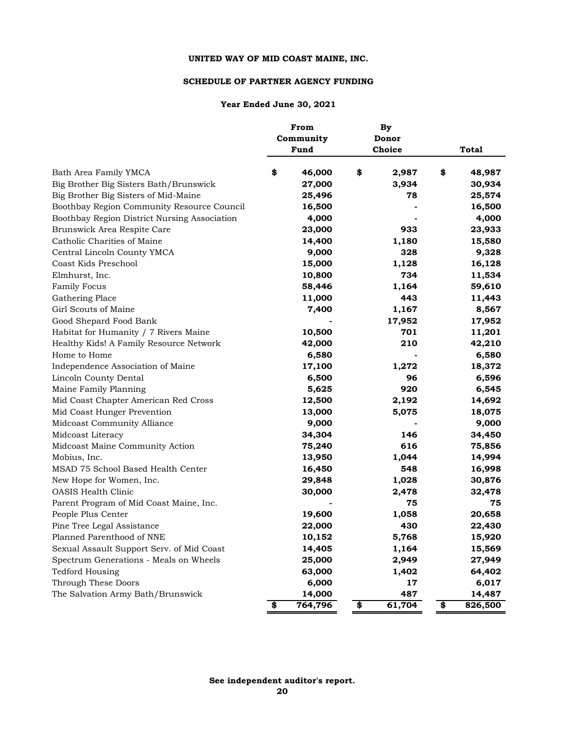# **SCHEDULE OF PARTNER AGENCY FUNDING**

|                                              |    | From<br>Community<br>Fund |    | By<br>Donor<br>Choice |    | <b>Total</b> |  |
|----------------------------------------------|----|---------------------------|----|-----------------------|----|--------------|--|
| Bath Area Family YMCA                        | \$ | 46,000                    | \$ | 2,987                 | \$ | 48,987       |  |
| Big Brother Big Sisters Bath/Brunswick       |    | 27,000                    |    | 3,934                 |    | 30,934       |  |
| Big Brother Big Sisters of Mid-Maine         |    | 25,496                    |    | 78                    |    | 25,574       |  |
| Boothbay Region Community Resource Council   |    | 16,500                    |    |                       |    | 16,500       |  |
| Boothbay Region District Nursing Association |    | 4,000                     |    |                       |    | 4,000        |  |
| Brunswick Area Respite Care                  |    | 23,000                    |    | 933                   |    | 23,933       |  |
| Catholic Charities of Maine                  |    | 14,400                    |    | 1,180                 |    | 15,580       |  |
| Central Lincoln County YMCA                  |    | 9,000                     |    | 328                   |    | 9,328        |  |
| Coast Kids Preschool                         |    | 15,000                    |    | 1,128                 |    | 16,128       |  |
| Elmhurst, Inc.                               |    | 10,800                    |    | 734                   |    | 11,534       |  |
| <b>Family Focus</b>                          |    | 58,446                    |    | 1,164                 |    | 59,610       |  |
| Gathering Place                              |    | 11,000                    |    | 443                   |    | 11,443       |  |
| Girl Scouts of Maine                         |    | 7,400                     |    | 1,167                 |    | 8,567        |  |
| Good Shepard Food Bank                       |    |                           |    | 17,952                |    | 17,952       |  |
| Habitat for Humanity / 7 Rivers Maine        |    | 10,500                    |    | 701                   |    | 11,201       |  |
| Healthy Kids! A Family Resource Network      |    | 42,000                    |    | 210                   |    | 42,210       |  |
| Home to Home                                 |    | 6,580                     |    |                       |    | 6,580        |  |
| Independence Association of Maine            |    | 17,100                    |    | 1,272                 |    | 18,372       |  |
| Lincoln County Dental                        |    | 6,500                     |    | 96                    |    | 6,596        |  |
| Maine Family Planning                        |    | 5,625                     |    | 920                   |    | 6,545        |  |
| Mid Coast Chapter American Red Cross         |    | 12,500                    |    | 2,192                 |    | 14,692       |  |
| Mid Coast Hunger Prevention                  |    | 13,000                    |    | 5,075                 |    | 18,075       |  |
| Midcoast Community Alliance                  |    | 9,000                     |    |                       |    | 9,000        |  |
| Midcoast Literacy                            |    | 34,304                    |    | 146                   |    | 34,450       |  |
| Midcoast Maine Community Action              |    | 75,240                    |    | 616                   |    | 75,856       |  |
| Mobius, Inc.                                 |    | 13,950                    |    | 1,044                 |    | 14,994       |  |
| MSAD 75 School Based Health Center           |    | 16,450                    |    | 548                   |    | 16,998       |  |
| New Hope for Women, Inc.                     |    | 29,848                    |    | 1,028                 |    | 30,876       |  |
| OASIS Health Clinic                          |    | 30,000                    |    | 2,478                 |    | 32,478       |  |
| Parent Program of Mid Coast Maine, Inc.      |    |                           |    | 75                    |    | 75           |  |
| People Plus Center                           |    | 19,600                    |    | 1,058                 |    | 20,658       |  |
| Pine Tree Legal Assistance                   |    | 22,000                    |    | 430                   |    | 22,430       |  |
| Planned Parenthood of NNE                    |    | 10,152                    |    | 5,768                 |    | 15,920       |  |
| Sexual Assault Support Serv. of Mid Coast    |    | 14,405                    |    | 1,164                 |    | 15,569       |  |
| Spectrum Generations - Meals on Wheels       |    | 25,000                    |    | 2,949                 |    | 27,949       |  |
| <b>Tedford Housing</b>                       |    | 63,000                    |    | 1,402                 |    | 64,402       |  |
| Through These Doors                          |    | 6,000                     |    | 17                    |    | 6,017        |  |
| The Salvation Army Bath/Brunswick            |    | 14,000                    |    | 487                   |    | 14,487       |  |
|                                              | \$ | 764,796                   | \$ | 61,704                | \$ | 826,500      |  |